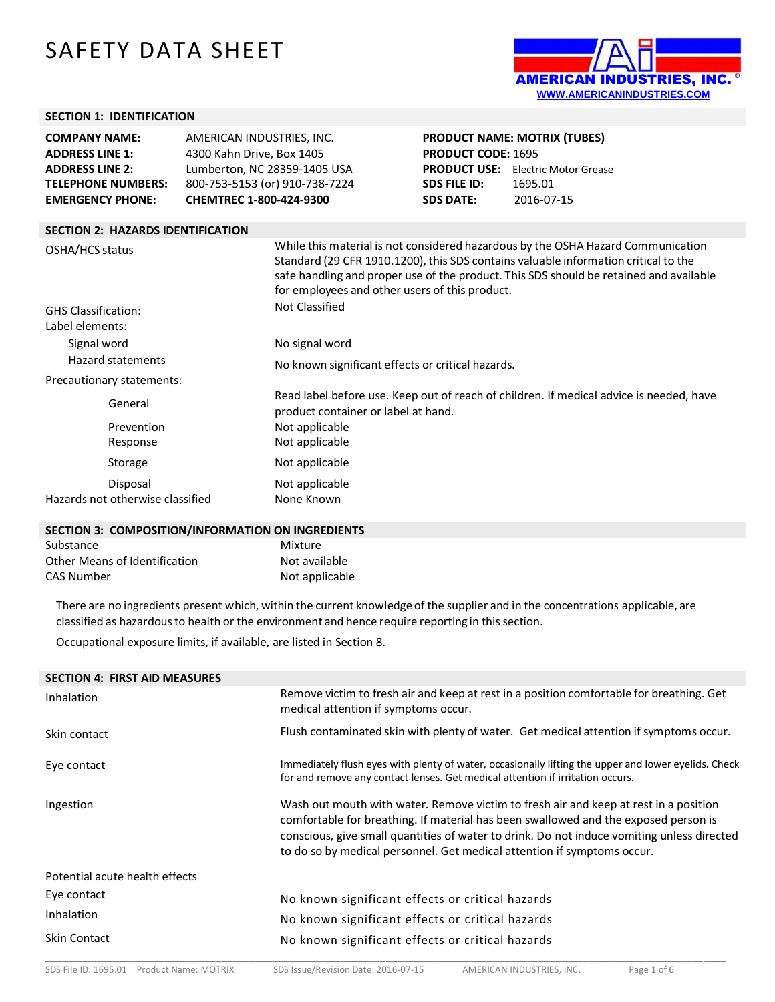# SAFETY DATA SHEET



#### **SECTION 1: IDENTIFICATION**

**SECTION 2: HAZARDS IDENTIFICATION** 

| <b>COMPANY NAME:</b>      | AMERICAN INDUSTRIES, INC.      |
|---------------------------|--------------------------------|
| <b>ADDRESS LINE 1:</b>    | 4300 Kahn Drive, Box 1405      |
| <b>ADDRESS LINE 2:</b>    | Lumberton, NC 28359-1405 USA   |
| <b>TELEPHONE NUMBERS:</b> | 800-753-5153 (or) 910-738-7224 |
| <b>EMERGENCY PHONE:</b>   | CHEMTREC 1-800-424-9300        |

**PRODUCT NAME: MOTRIX (TUBES) PRODUCT CODE:** 1695 **PRODUCT USE:** Electric Motor Grease **SDS FILE ID:** 1695.01 **SDS DATE:** 2016-07-15

| OSHA/HCS status                  | While this material is not considered hazardous by the OSHA Hazard Communication<br>Standard (29 CFR 1910.1200), this SDS contains valuable information critical to the<br>safe handling and proper use of the product. This SDS should be retained and available<br>for employees and other users of this product. |
|----------------------------------|---------------------------------------------------------------------------------------------------------------------------------------------------------------------------------------------------------------------------------------------------------------------------------------------------------------------|
| <b>GHS Classification:</b>       | Not Classified                                                                                                                                                                                                                                                                                                      |
| Label elements:                  |                                                                                                                                                                                                                                                                                                                     |
| Signal word                      | No signal word                                                                                                                                                                                                                                                                                                      |
| Hazard statements                | No known significant effects or critical hazards.                                                                                                                                                                                                                                                                   |
| Precautionary statements:        |                                                                                                                                                                                                                                                                                                                     |
| General                          | Read label before use. Keep out of reach of children. If medical advice is needed, have<br>product container or label at hand.                                                                                                                                                                                      |
| Prevention                       | Not applicable                                                                                                                                                                                                                                                                                                      |
| Response                         | Not applicable                                                                                                                                                                                                                                                                                                      |
| Storage                          | Not applicable                                                                                                                                                                                                                                                                                                      |
| Disposal                         | Not applicable                                                                                                                                                                                                                                                                                                      |
| Hazards not otherwise classified | None Known                                                                                                                                                                                                                                                                                                          |
|                                  |                                                                                                                                                                                                                                                                                                                     |

#### **SECTION 3: COMPOSITION/INFORMATION ON INGREDIENTS**

| Substance                     | Mixture        |
|-------------------------------|----------------|
| Other Means of Identification | Not available  |
| CAS Number                    | Not applicable |

There are no ingredients present which, within the current knowledgeof the supplier and in the concentrations applicable, are classified as hazardousto health or the environment and hence require reporting in thissection.

Occupational exposure limits, if available, are listed in Section 8.

| <b>SECTION 4: FIRST AID MEASURES</b> |                                                                                                                                                                                                                                                                                                                                                      |
|--------------------------------------|------------------------------------------------------------------------------------------------------------------------------------------------------------------------------------------------------------------------------------------------------------------------------------------------------------------------------------------------------|
| <b>Inhalation</b>                    | Remove victim to fresh air and keep at rest in a position comfortable for breathing. Get<br>medical attention if symptoms occur.                                                                                                                                                                                                                     |
| Skin contact                         | Flush contaminated skin with plenty of water. Get medical attention if symptoms occur.                                                                                                                                                                                                                                                               |
| Eye contact                          | Immediately flush eyes with plenty of water, occasionally lifting the upper and lower eyelids. Check<br>for and remove any contact lenses. Get medical attention if irritation occurs.                                                                                                                                                               |
| Ingestion                            | Wash out mouth with water. Remove victim to fresh air and keep at rest in a position<br>comfortable for breathing. If material has been swallowed and the exposed person is<br>conscious, give small quantities of water to drink. Do not induce vomiting unless directed<br>to do so by medical personnel. Get medical attention if symptoms occur. |
| Potential acute health effects       |                                                                                                                                                                                                                                                                                                                                                      |
| Eye contact                          | No known significant effects or critical hazards                                                                                                                                                                                                                                                                                                     |
| <b>Inhalation</b>                    | No known significant effects or critical hazards                                                                                                                                                                                                                                                                                                     |
| <b>Skin Contact</b>                  | No known significant effects or critical hazards                                                                                                                                                                                                                                                                                                     |
|                                      |                                                                                                                                                                                                                                                                                                                                                      |

\_\_\_\_\_\_\_\_\_\_\_\_\_\_\_\_\_\_\_\_\_\_\_\_\_\_\_\_\_\_\_\_\_\_\_\_\_\_\_\_\_\_\_\_\_\_\_\_\_\_\_\_\_\_\_\_\_\_\_\_\_\_\_\_\_\_\_\_\_\_\_\_\_\_\_\_\_\_\_\_\_\_\_\_\_\_\_\_\_\_\_\_\_\_\_\_\_\_\_\_\_\_\_\_\_\_\_\_\_\_\_\_\_\_\_\_\_\_\_\_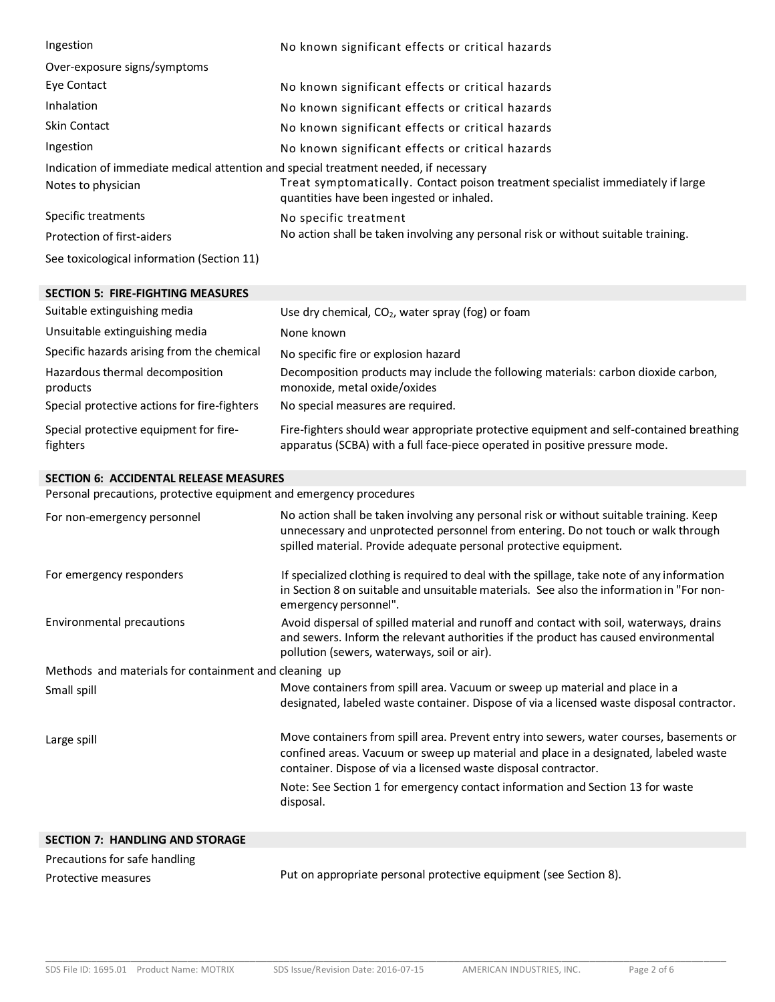| Ingestion                                                                            | No known significant effects or critical hazards                                                                             |  |
|--------------------------------------------------------------------------------------|------------------------------------------------------------------------------------------------------------------------------|--|
| Over-exposure signs/symptoms                                                         |                                                                                                                              |  |
| Eye Contact                                                                          | No known significant effects or critical hazards                                                                             |  |
| Inhalation                                                                           | No known significant effects or critical hazards                                                                             |  |
| <b>Skin Contact</b>                                                                  | No known significant effects or critical hazards                                                                             |  |
| Ingestion                                                                            | No known significant effects or critical hazards                                                                             |  |
| Indication of immediate medical attention and special treatment needed, if necessary |                                                                                                                              |  |
| Notes to physician                                                                   | Treat symptomatically. Contact poison treatment specialist immediately if large<br>quantities have been ingested or inhaled. |  |
| Specific treatments                                                                  | No specific treatment                                                                                                        |  |
| Protection of first-aiders                                                           | No action shall be taken involving any personal risk or without suitable training.                                           |  |
| See toxicological information (Section 11)                                           |                                                                                                                              |  |

| <b>SECTION 5: FIRE-FIGHTING MEASURES</b>           |                                                                                                                                                                        |
|----------------------------------------------------|------------------------------------------------------------------------------------------------------------------------------------------------------------------------|
| Suitable extinguishing media                       | Use dry chemical, $CO2$ , water spray (fog) or foam                                                                                                                    |
| Unsuitable extinguishing media                     | None known                                                                                                                                                             |
| Specific hazards arising from the chemical         | No specific fire or explosion hazard                                                                                                                                   |
| Hazardous thermal decomposition<br>products        | Decomposition products may include the following materials: carbon dioxide carbon,<br>monoxide, metal oxide/oxides                                                     |
| Special protective actions for fire-fighters       | No special measures are required.                                                                                                                                      |
| Special protective equipment for fire-<br>fighters | Fire-fighters should wear appropriate protective equipment and self-contained breathing<br>apparatus (SCBA) with a full face-piece operated in positive pressure mode. |

### **SECTION 6: ACCIDENTAL RELEASE MEASURES**

Personal precautions, protective equipment and emergency procedures

| For non-emergency personnel                           | No action shall be taken involving any personal risk or without suitable training. Keep<br>unnecessary and unprotected personnel from entering. Do not touch or walk through<br>spilled material. Provide adequate personal protective equipment.  |  |
|-------------------------------------------------------|----------------------------------------------------------------------------------------------------------------------------------------------------------------------------------------------------------------------------------------------------|--|
| For emergency responders                              | If specialized clothing is required to deal with the spillage, take note of any information<br>in Section 8 on suitable and unsuitable materials. See also the information in "For non-<br>emergency personnel".                                   |  |
| Environmental precautions                             | Avoid dispersal of spilled material and runoff and contact with soil, waterways, drains<br>and sewers. Inform the relevant authorities if the product has caused environmental<br>pollution (sewers, waterways, soil or air).                      |  |
| Methods and materials for containment and cleaning up |                                                                                                                                                                                                                                                    |  |
| Small spill                                           | Move containers from spill area. Vacuum or sweep up material and place in a<br>designated, labeled waste container. Dispose of via a licensed waste disposal contractor.                                                                           |  |
| Large spill                                           | Move containers from spill area. Prevent entry into sewers, water courses, basements or<br>confined areas. Vacuum or sweep up material and place in a designated, labeled waste<br>container. Dispose of via a licensed waste disposal contractor. |  |
|                                                       | Note: See Section 1 for emergency contact information and Section 13 for waste<br>disposal.                                                                                                                                                        |  |
|                                                       |                                                                                                                                                                                                                                                    |  |

| <b>SECTION 7: HANDLING AND STORAGE</b> |                                                                   |
|----------------------------------------|-------------------------------------------------------------------|
| Precautions for safe handling          |                                                                   |
| Protective measures                    | Put on appropriate personal protective equipment (see Section 8). |

\_\_\_\_\_\_\_\_\_\_\_\_\_\_\_\_\_\_\_\_\_\_\_\_\_\_\_\_\_\_\_\_\_\_\_\_\_\_\_\_\_\_\_\_\_\_\_\_\_\_\_\_\_\_\_\_\_\_\_\_\_\_\_\_\_\_\_\_\_\_\_\_\_\_\_\_\_\_\_\_\_\_\_\_\_\_\_\_\_\_\_\_\_\_\_\_\_\_\_\_\_\_\_\_\_\_\_\_\_\_\_\_\_\_\_\_\_\_\_\_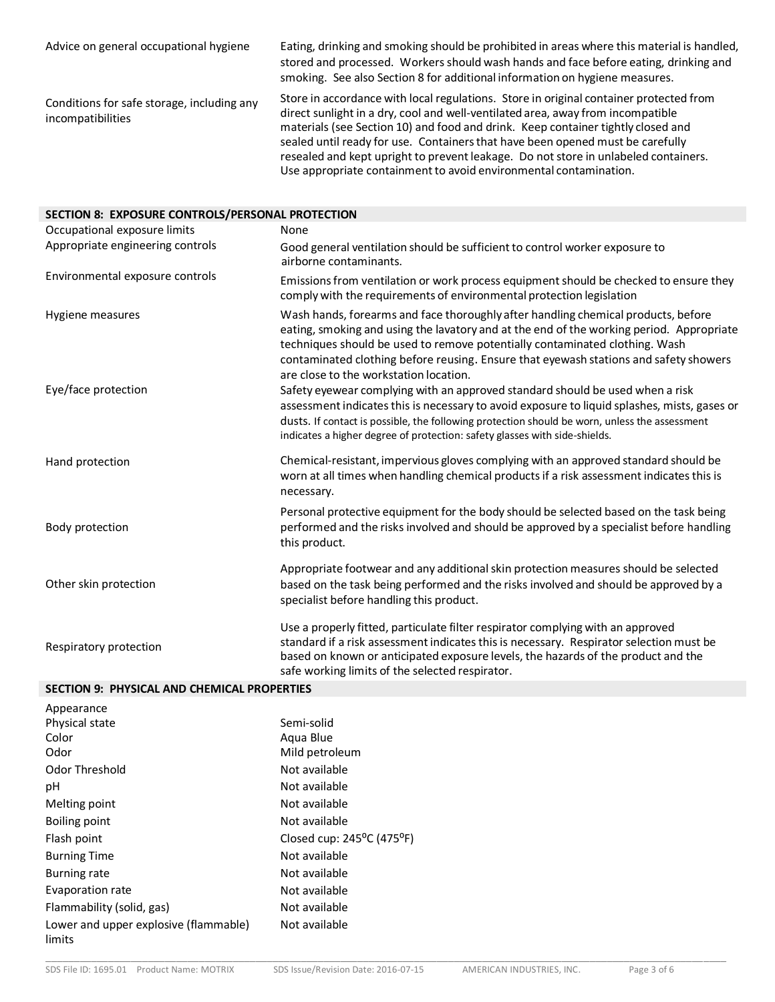| Advice on general occupational hygiene                          | Eating, drinking and smoking should be prohibited in areas where this material is handled,<br>stored and processed. Workers should wash hands and face before eating, drinking and<br>smoking. See also Section 8 for additional information on hygiene measures.                                                                                                                                                                      |
|-----------------------------------------------------------------|----------------------------------------------------------------------------------------------------------------------------------------------------------------------------------------------------------------------------------------------------------------------------------------------------------------------------------------------------------------------------------------------------------------------------------------|
| Conditions for safe storage, including any<br>incompatibilities | Store in accordance with local regulations. Store in original container protected from<br>direct sunlight in a dry, cool and well-ventilated area, away from incompatible<br>materials (see Section 10) and food and drink. Keep container tightly closed and<br>sealed until ready for use. Containers that have been opened must be carefully<br>resealed and kept upright to prevent leakage. Do not store in unlabeled containers. |

Use appropriate containment to avoid environmental contamination.

| SECTION 8: EXPOSURE CONTROLS/PERSONAL PROTECTION |                                                                                                                                                                                                                                                                                                                                                                                                 |  |  |
|--------------------------------------------------|-------------------------------------------------------------------------------------------------------------------------------------------------------------------------------------------------------------------------------------------------------------------------------------------------------------------------------------------------------------------------------------------------|--|--|
| Occupational exposure limits                     | None                                                                                                                                                                                                                                                                                                                                                                                            |  |  |
| Appropriate engineering controls                 | Good general ventilation should be sufficient to control worker exposure to<br>airborne contaminants.                                                                                                                                                                                                                                                                                           |  |  |
| Environmental exposure controls                  | Emissions from ventilation or work process equipment should be checked to ensure they<br>comply with the requirements of environmental protection legislation                                                                                                                                                                                                                                   |  |  |
| Hygiene measures                                 | Wash hands, forearms and face thoroughly after handling chemical products, before<br>eating, smoking and using the lavatory and at the end of the working period. Appropriate<br>techniques should be used to remove potentially contaminated clothing. Wash<br>contaminated clothing before reusing. Ensure that eyewash stations and safety showers<br>are close to the workstation location. |  |  |
| Eye/face protection                              | Safety eyewear complying with an approved standard should be used when a risk<br>assessment indicates this is necessary to avoid exposure to liquid splashes, mists, gases or<br>dusts. If contact is possible, the following protection should be worn, unless the assessment<br>indicates a higher degree of protection: safety glasses with side-shields.                                    |  |  |
| Hand protection                                  | Chemical-resistant, impervious gloves complying with an approved standard should be<br>worn at all times when handling chemical products if a risk assessment indicates this is<br>necessary.                                                                                                                                                                                                   |  |  |
| Body protection                                  | Personal protective equipment for the body should be selected based on the task being<br>performed and the risks involved and should be approved by a specialist before handling<br>this product.                                                                                                                                                                                               |  |  |
| Other skin protection                            | Appropriate footwear and any additional skin protection measures should be selected<br>based on the task being performed and the risks involved and should be approved by a<br>specialist before handling this product.                                                                                                                                                                         |  |  |
| Respiratory protection                           | Use a properly fitted, particulate filter respirator complying with an approved<br>standard if a risk assessment indicates this is necessary. Respirator selection must be<br>based on known or anticipated exposure levels, the hazards of the product and the<br>safe working limits of the selected respirator.                                                                              |  |  |

## **SECTION 9: PHYSICAL AND CHEMICAL PROPERTIES**

| Appearance                                      |                                                  |
|-------------------------------------------------|--------------------------------------------------|
| Physical state                                  | Semi-solid                                       |
| Color                                           | Agua Blue                                        |
| Odor                                            | Mild petroleum                                   |
| Odor Threshold                                  | Not available                                    |
| рH                                              | Not available                                    |
| Melting point                                   | Not available                                    |
| Boiling point                                   | Not available                                    |
| Flash point                                     | Closed cup: $245^{\circ}$ C (475 <sup>o</sup> F) |
| <b>Burning Time</b>                             | Not available                                    |
| <b>Burning rate</b>                             | Not available                                    |
| Evaporation rate                                | Not available                                    |
| Flammability (solid, gas)                       | Not available                                    |
| Lower and upper explosive (flammable)<br>limits | Not available                                    |

\_\_\_\_\_\_\_\_\_\_\_\_\_\_\_\_\_\_\_\_\_\_\_\_\_\_\_\_\_\_\_\_\_\_\_\_\_\_\_\_\_\_\_\_\_\_\_\_\_\_\_\_\_\_\_\_\_\_\_\_\_\_\_\_\_\_\_\_\_\_\_\_\_\_\_\_\_\_\_\_\_\_\_\_\_\_\_\_\_\_\_\_\_\_\_\_\_\_\_\_\_\_\_\_\_\_\_\_\_\_\_\_\_\_\_\_\_\_\_\_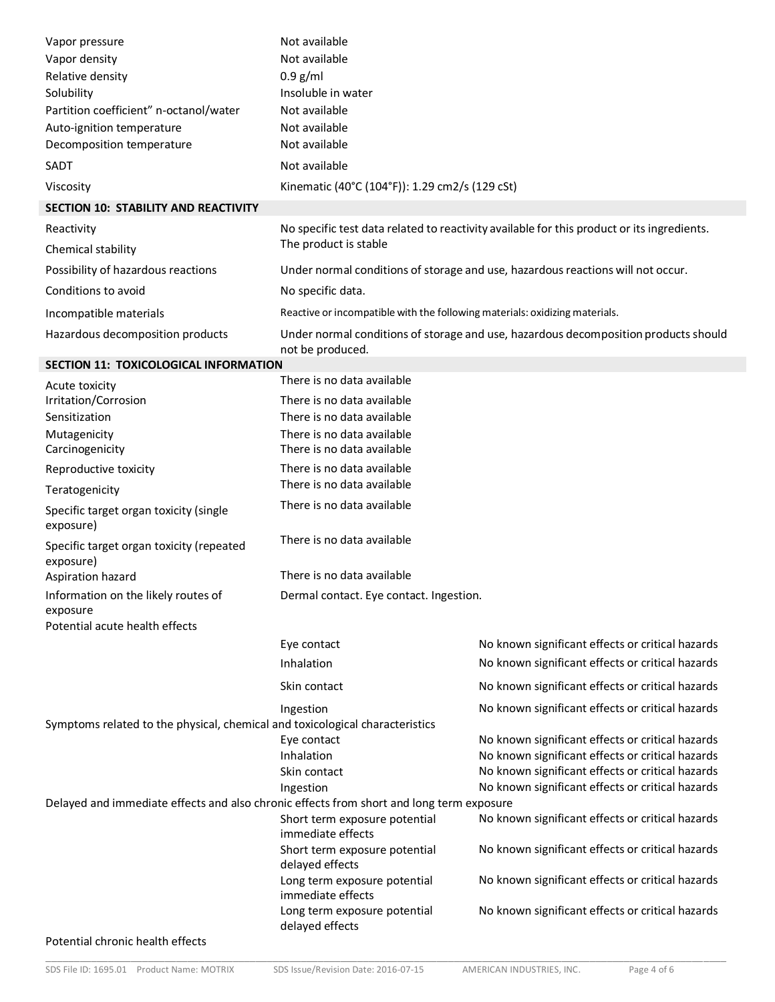| Vapor pressure                                                                           | Not available                                                                                           |                                                                                            |  |
|------------------------------------------------------------------------------------------|---------------------------------------------------------------------------------------------------------|--------------------------------------------------------------------------------------------|--|
| Vapor density                                                                            | Not available                                                                                           |                                                                                            |  |
| Relative density                                                                         | $0.9$ g/ml                                                                                              |                                                                                            |  |
| Solubility                                                                               | Insoluble in water                                                                                      |                                                                                            |  |
| Partition coefficient" n-octanol/water                                                   | Not available                                                                                           |                                                                                            |  |
| Auto-ignition temperature                                                                | Not available                                                                                           |                                                                                            |  |
| Decomposition temperature                                                                | Not available                                                                                           |                                                                                            |  |
| SADT                                                                                     | Not available                                                                                           |                                                                                            |  |
| Viscosity                                                                                | Kinematic (40°C (104°F)): 1.29 cm2/s (129 cSt)                                                          |                                                                                            |  |
| SECTION 10: STABILITY AND REACTIVITY                                                     |                                                                                                         |                                                                                            |  |
| Reactivity                                                                               |                                                                                                         | No specific test data related to reactivity available for this product or its ingredients. |  |
| Chemical stability                                                                       | The product is stable                                                                                   |                                                                                            |  |
| Possibility of hazardous reactions                                                       |                                                                                                         | Under normal conditions of storage and use, hazardous reactions will not occur.            |  |
| Conditions to avoid                                                                      | No specific data.                                                                                       |                                                                                            |  |
| Incompatible materials                                                                   | Reactive or incompatible with the following materials: oxidizing materials.                             |                                                                                            |  |
| Hazardous decomposition products                                                         | Under normal conditions of storage and use, hazardous decomposition products should<br>not be produced. |                                                                                            |  |
| <b>SECTION 11: TOXICOLOGICAL INFORMATION</b>                                             |                                                                                                         |                                                                                            |  |
| Acute toxicity                                                                           | There is no data available                                                                              |                                                                                            |  |
| Irritation/Corrosion<br>Sensitization                                                    | There is no data available<br>There is no data available                                                |                                                                                            |  |
| Mutagenicity<br>Carcinogenicity                                                          | There is no data available<br>There is no data available                                                |                                                                                            |  |
| Reproductive toxicity                                                                    | There is no data available                                                                              |                                                                                            |  |
| Teratogenicity                                                                           | There is no data available                                                                              |                                                                                            |  |
| Specific target organ toxicity (single<br>exposure)                                      | There is no data available                                                                              |                                                                                            |  |
| Specific target organ toxicity (repeated<br>exposure)                                    | There is no data available                                                                              |                                                                                            |  |
| Aspiration hazard                                                                        | There is no data available                                                                              |                                                                                            |  |
| Information on the likely routes of<br>exposure<br>Potential acute health effects        | Dermal contact. Eye contact. Ingestion.                                                                 |                                                                                            |  |
|                                                                                          | Eye contact                                                                                             | No known significant effects or critical hazards                                           |  |
|                                                                                          | Inhalation                                                                                              | No known significant effects or critical hazards                                           |  |
|                                                                                          | Skin contact                                                                                            | No known significant effects or critical hazards                                           |  |
|                                                                                          | Ingestion                                                                                               | No known significant effects or critical hazards                                           |  |
| Symptoms related to the physical, chemical and toxicological characteristics             |                                                                                                         |                                                                                            |  |
|                                                                                          | Eye contact                                                                                             | No known significant effects or critical hazards                                           |  |
|                                                                                          | Inhalation                                                                                              | No known significant effects or critical hazards                                           |  |
|                                                                                          | Skin contact                                                                                            | No known significant effects or critical hazards                                           |  |
| Delayed and immediate effects and also chronic effects from short and long term exposure | Ingestion                                                                                               | No known significant effects or critical hazards                                           |  |
|                                                                                          | Short term exposure potential<br>immediate effects                                                      | No known significant effects or critical hazards                                           |  |
|                                                                                          | Short term exposure potential<br>delayed effects                                                        | No known significant effects or critical hazards                                           |  |
|                                                                                          | Long term exposure potential<br>immediate effects                                                       | No known significant effects or critical hazards                                           |  |
|                                                                                          | Long term exposure potential<br>delayed effects                                                         | No known significant effects or critical hazards                                           |  |
| Potential chronic health effects                                                         |                                                                                                         |                                                                                            |  |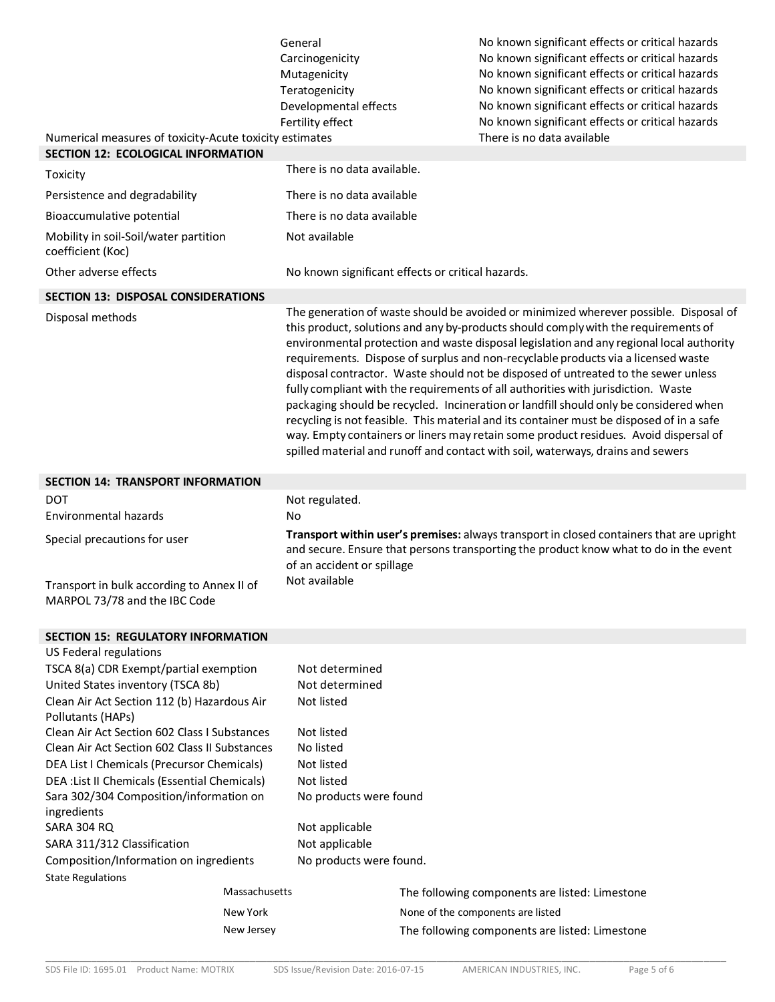|                                                                                                      | General                                   | No known significant effects or critical hazards                                                                                                                                                                                                                                                                                                                                                                                                                                                                                                                                                                                                                                                                                                                                                                                                                                                        |
|------------------------------------------------------------------------------------------------------|-------------------------------------------|---------------------------------------------------------------------------------------------------------------------------------------------------------------------------------------------------------------------------------------------------------------------------------------------------------------------------------------------------------------------------------------------------------------------------------------------------------------------------------------------------------------------------------------------------------------------------------------------------------------------------------------------------------------------------------------------------------------------------------------------------------------------------------------------------------------------------------------------------------------------------------------------------------|
|                                                                                                      | Carcinogenicity                           | No known significant effects or critical hazards                                                                                                                                                                                                                                                                                                                                                                                                                                                                                                                                                                                                                                                                                                                                                                                                                                                        |
|                                                                                                      | Mutagenicity                              | No known significant effects or critical hazards                                                                                                                                                                                                                                                                                                                                                                                                                                                                                                                                                                                                                                                                                                                                                                                                                                                        |
|                                                                                                      | Teratogenicity                            | No known significant effects or critical hazards                                                                                                                                                                                                                                                                                                                                                                                                                                                                                                                                                                                                                                                                                                                                                                                                                                                        |
|                                                                                                      | Developmental effects<br>Fertility effect | No known significant effects or critical hazards                                                                                                                                                                                                                                                                                                                                                                                                                                                                                                                                                                                                                                                                                                                                                                                                                                                        |
|                                                                                                      |                                           | No known significant effects or critical hazards<br>There is no data available                                                                                                                                                                                                                                                                                                                                                                                                                                                                                                                                                                                                                                                                                                                                                                                                                          |
| Numerical measures of toxicity-Acute toxicity estimates<br><b>SECTION 12: ECOLOGICAL INFORMATION</b> |                                           |                                                                                                                                                                                                                                                                                                                                                                                                                                                                                                                                                                                                                                                                                                                                                                                                                                                                                                         |
| Toxicity                                                                                             | There is no data available.               |                                                                                                                                                                                                                                                                                                                                                                                                                                                                                                                                                                                                                                                                                                                                                                                                                                                                                                         |
| Persistence and degradability                                                                        | There is no data available                |                                                                                                                                                                                                                                                                                                                                                                                                                                                                                                                                                                                                                                                                                                                                                                                                                                                                                                         |
| Bioaccumulative potential                                                                            | There is no data available                |                                                                                                                                                                                                                                                                                                                                                                                                                                                                                                                                                                                                                                                                                                                                                                                                                                                                                                         |
| Mobility in soil-Soil/water partition<br>coefficient (Koc)                                           | Not available                             |                                                                                                                                                                                                                                                                                                                                                                                                                                                                                                                                                                                                                                                                                                                                                                                                                                                                                                         |
| Other adverse effects                                                                                |                                           | No known significant effects or critical hazards.                                                                                                                                                                                                                                                                                                                                                                                                                                                                                                                                                                                                                                                                                                                                                                                                                                                       |
| <b>SECTION 13: DISPOSAL CONSIDERATIONS</b>                                                           |                                           |                                                                                                                                                                                                                                                                                                                                                                                                                                                                                                                                                                                                                                                                                                                                                                                                                                                                                                         |
| Disposal methods                                                                                     |                                           | The generation of waste should be avoided or minimized wherever possible. Disposal of<br>this product, solutions and any by-products should comply with the requirements of<br>environmental protection and waste disposal legislation and any regional local authority<br>requirements. Dispose of surplus and non-recyclable products via a licensed waste<br>disposal contractor. Waste should not be disposed of untreated to the sewer unless<br>fully compliant with the requirements of all authorities with jurisdiction. Waste<br>packaging should be recycled. Incineration or landfill should only be considered when<br>recycling is not feasible. This material and its container must be disposed of in a safe<br>way. Empty containers or liners may retain some product residues. Avoid dispersal of<br>spilled material and runoff and contact with soil, waterways, drains and sewers |
| <b>SECTION 14: TRANSPORT INFORMATION</b>                                                             |                                           |                                                                                                                                                                                                                                                                                                                                                                                                                                                                                                                                                                                                                                                                                                                                                                                                                                                                                                         |
| DOT                                                                                                  | Not regulated.                            |                                                                                                                                                                                                                                                                                                                                                                                                                                                                                                                                                                                                                                                                                                                                                                                                                                                                                                         |
| Environmental hazards                                                                                | No                                        |                                                                                                                                                                                                                                                                                                                                                                                                                                                                                                                                                                                                                                                                                                                                                                                                                                                                                                         |
| Special precautions for user                                                                         | of an accident or spillage                | Transport within user's premises: always transport in closed containers that are upright<br>and secure. Ensure that persons transporting the product know what to do in the event                                                                                                                                                                                                                                                                                                                                                                                                                                                                                                                                                                                                                                                                                                                       |
| Transport in bulk according to Annex II of<br>MARPOL 73/78 and the IBC Code                          | Not available                             |                                                                                                                                                                                                                                                                                                                                                                                                                                                                                                                                                                                                                                                                                                                                                                                                                                                                                                         |
| <b>SECTION 15: REGULATORY INFORMATION</b>                                                            |                                           |                                                                                                                                                                                                                                                                                                                                                                                                                                                                                                                                                                                                                                                                                                                                                                                                                                                                                                         |
| US Federal regulations                                                                               |                                           |                                                                                                                                                                                                                                                                                                                                                                                                                                                                                                                                                                                                                                                                                                                                                                                                                                                                                                         |
| TSCA 8(a) CDR Exempt/partial exemption                                                               | Not determined                            |                                                                                                                                                                                                                                                                                                                                                                                                                                                                                                                                                                                                                                                                                                                                                                                                                                                                                                         |
| United States inventory (TSCA 8b)                                                                    | Not determined                            |                                                                                                                                                                                                                                                                                                                                                                                                                                                                                                                                                                                                                                                                                                                                                                                                                                                                                                         |
| Clean Air Act Section 112 (b) Hazardous Air<br>Pollutants (HAPs)                                     | Not listed                                |                                                                                                                                                                                                                                                                                                                                                                                                                                                                                                                                                                                                                                                                                                                                                                                                                                                                                                         |
| Clean Air Act Section 602 Class I Substances                                                         | Not listed                                |                                                                                                                                                                                                                                                                                                                                                                                                                                                                                                                                                                                                                                                                                                                                                                                                                                                                                                         |
| Clean Air Act Section 602 Class II Substances                                                        | No listed                                 |                                                                                                                                                                                                                                                                                                                                                                                                                                                                                                                                                                                                                                                                                                                                                                                                                                                                                                         |
| DEA List I Chemicals (Precursor Chemicals)                                                           | Not listed                                |                                                                                                                                                                                                                                                                                                                                                                                                                                                                                                                                                                                                                                                                                                                                                                                                                                                                                                         |
| DEA : List II Chemicals (Essential Chemicals)                                                        | Not listed                                |                                                                                                                                                                                                                                                                                                                                                                                                                                                                                                                                                                                                                                                                                                                                                                                                                                                                                                         |
| Sara 302/304 Composition/information on                                                              | No products were found                    |                                                                                                                                                                                                                                                                                                                                                                                                                                                                                                                                                                                                                                                                                                                                                                                                                                                                                                         |
| ingredients<br>SARA 304 RQ                                                                           | Not applicable                            |                                                                                                                                                                                                                                                                                                                                                                                                                                                                                                                                                                                                                                                                                                                                                                                                                                                                                                         |
| SARA 311/312 Classification                                                                          | Not applicable                            |                                                                                                                                                                                                                                                                                                                                                                                                                                                                                                                                                                                                                                                                                                                                                                                                                                                                                                         |
| Composition/Information on ingredients                                                               | No products were found.                   |                                                                                                                                                                                                                                                                                                                                                                                                                                                                                                                                                                                                                                                                                                                                                                                                                                                                                                         |
| <b>State Regulations</b>                                                                             |                                           |                                                                                                                                                                                                                                                                                                                                                                                                                                                                                                                                                                                                                                                                                                                                                                                                                                                                                                         |
| Massachusetts                                                                                        |                                           | The following components are listed: Limestone                                                                                                                                                                                                                                                                                                                                                                                                                                                                                                                                                                                                                                                                                                                                                                                                                                                          |
| New York                                                                                             |                                           | None of the components are listed                                                                                                                                                                                                                                                                                                                                                                                                                                                                                                                                                                                                                                                                                                                                                                                                                                                                       |
| New Jersey                                                                                           |                                           | The following components are listed: Limestone                                                                                                                                                                                                                                                                                                                                                                                                                                                                                                                                                                                                                                                                                                                                                                                                                                                          |
|                                                                                                      |                                           |                                                                                                                                                                                                                                                                                                                                                                                                                                                                                                                                                                                                                                                                                                                                                                                                                                                                                                         |